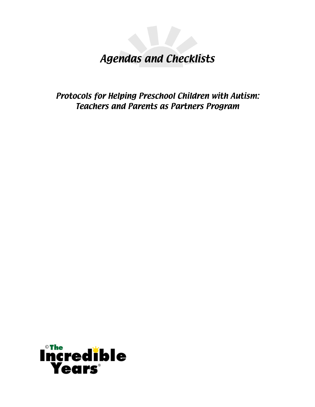# Agendas and Checklists

Protocols for Helping Preschool Children with Autism: Teachers and Parents as Partners Program

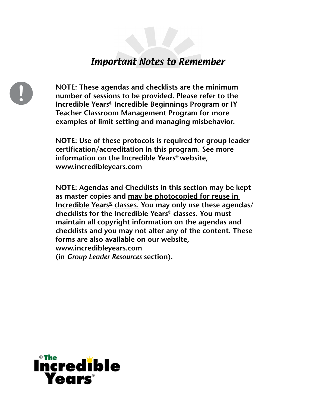## Important Notes to Remember

**NOTE: These agendas and checklists are the minimum number of sessions to be provided. Please refer to the Incredible Years® Incredible Beginnings Program or IY Teacher Classroom Management Program for more examples of limit setting and managing misbehavior.**

**NOTE: Use of these protocols is required for group leader certification/accreditation in this program. See more information on the Incredible Years® website, www.incredibleyears.com**

**NOTE: Agendas and Checklists in this section may be kept as master copies and may be photocopied for reuse in Incredible Years® classes. You may only use these agendas/ checklists for the Incredible Years® classes. You must maintain all copyright information on the agendas and checklists and you may not alter any of the content. These forms are also available on our website, www.incredibleyears.com (in** *Group Leader Resources* **section).**

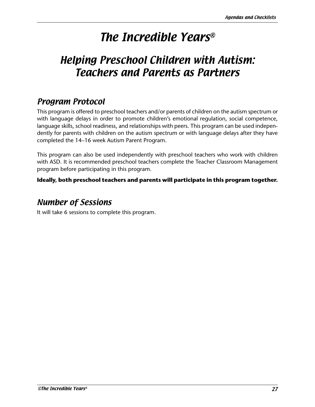# The Incredible Years®

# Helping Preschool Children with Autism: Teachers and Parents as Partners

## Program Protocol

This program is offered to preschool teachers and/or parents of children on the autism spectrum or with language delays in order to promote children's emotional regulation, social competence, language skills, school readiness, and relationships with peers. This program can be used independently for parents with children on the autism spectrum or with language delays after they have completed the 14–16 week Autism Parent Program.

This program can also be used independently with preschool teachers who work with children with ASD. It is recommended preschool teachers complete the Teacher Classroom Management program before participating in this program.

## **Ideally, both preschool teachers and parents will participate in this program together.**

## Number of Sessions

It will take 6 sessions to complete this program.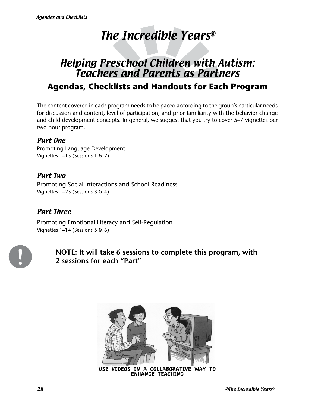# The Incredible Years®

# Helping Preschool Children with Autism: Teachers and Parents as Partners **Agendas, Checklists and Handouts for Each Program**

The content covered in each program needs to be paced according to the group's particular needs for discussion and content, level of participation, and prior familiarity with the behavior change and child development concepts. In general, we suggest that you try to cover 5–7 vignettes per two-hour program.

## Part One

Promoting Language Development Vignettes 1–13 (Sessions 1 & 2)

## Part Two

Promoting Social Interactions and School Readiness Vignettes 1–23 (Sessions 3 & 4)

## Part Three

Promoting Emotional Literacy and Self-Regulation Vignettes 1–14 (Sessions 5 & 6)



**NOTE: It will take 6 sessions to complete this program, with 2 sessions for each "Part"**



USE VIDEOS IN A COLLABORATIVE WAY TO ENHANCE TEACHING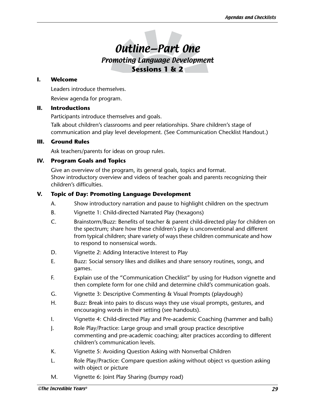# Outline—Part One

Promoting Language Development **Sessions 1 & 2**

### **I. Welcome**

Leaders introduce themselves.

Review agenda for program.

### **II. Introductions**

Participants introduce themselves and goals.

Talk about children's classrooms and peer relationships. Share children's stage of communication and play level development. (See Communication Checklist Handout.)

### **III. Ground Rules**

Ask teachers/parents for ideas on group rules.

## **IV. Program Goals and Topics**

Give an overview of the program, its general goals, topics and format. Show introductory overview and videos of teacher goals and parents recognizing their children's difficulties.

### **V. Topic of Day: Promoting Language Development**

- A. Show introductory narration and pause to highlight children on the spectrum
- B. Vignette 1: Child-directed Narrated Play (hexagons)
- C. Brainstorm/Buzz: Benefits of teacher & parent child-directed play for children on the spectrum; share how these children's play is unconventional and different from typical children; share variety of ways these children communicate and how to respond to nonsensical words.
- D. Vignette 2: Adding Interactive Interest to Play
- E. Buzz: Social sensory likes and dislikes and share sensory routines, songs, and games.
- F. Explain use of the "Communication Checklist" by using for Hudson vignette and then complete form for one child and determine child's communication goals.
- G. Vignette 3: Descriptive Commenting & Visual Prompts (playdough)
- H. Buzz: Break into pairs to discuss ways they use visual prompts, gestures, and encouraging words in their setting (see handouts).
- I. Vignette 4: Child-directed Play and Pre-academic Coaching (hammer and balls)
- J. Role Play/Practice: Large group and small group practice descriptive commenting and pre-academic coaching; alter practices according to different children's communication levels.
- K. Vignette 5: Avoiding Question Asking with Nonverbal Children
- L. Role Play/Practice: Compare question asking without object vs question asking with object or picture
- M. Vignette 6: Joint Play Sharing (bumpy road)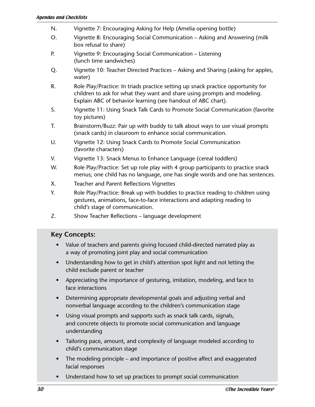- N. Vignette 7: Encouraging Asking for Help (Amelia opening bottle)
- O. Vignette 8: Encouraging Social Communication Asking and Answering (milk box refusal to share)
- P. Vignette 9: Encouraging Social Communication Listening (lunch time sandwiches)
- Q. Vignette 10: Teacher Directed Practices Asking and Sharing (asking for apples, water)
- R. Role Play/Practice: In triads practice setting up snack practice opportunity for children to ask for what they want and share using prompts and modeling. Explain ABC of behavior learning (see handout of ABC chart).
- S. Vignette 11: Using Snack Talk Cards to Promote Social Communication (favorite toy pictures)
- T. Brainstorm/Buzz: Pair up with buddy to talk about ways to use visual prompts (snack cards) in classroom to enhance social communication.
- U. Vignette 12: Using Snack Cards to Promote Social Communication (favorite characters)
- V. Vignette 13: Snack Menus to Enhance Language (cereal toddlers)
- W. Role Play/Practice: Set up role play with 4 group participants to practice snack menus; one child has no language, one has single words and one has sentences.
- X. Teacher and Parent Reflections Vignettes
- Y. Role Play/Practice: Break up with buddies to practice reading to children using gestures, animations, face-to-face interactions and adapting reading to child's stage of communication.
- Z. Show Teacher Reflections language development

- Value of teachers and parents giving focused child-directed narrated play as a way of promoting joint play and social communication
- Understanding how to get in child's attention spot light and not letting the child exclude parent or teacher
- Appreciating the importance of gesturing, imitation, modeling, and face to face interactions
- Determining appropriate developmental goals and adjusting verbal and nonverbal language according to the children's communication stage
- Using visual prompts and supports such as snack talk cards, signals, and concrete objects to promote social communication and language understanding
- Tailoring pace, amount, and complexity of language modeled according to child's communication stage
- The modeling principle and importance of positive affect and exaggerated facial responses
- Understand how to set up practices to prompt social communication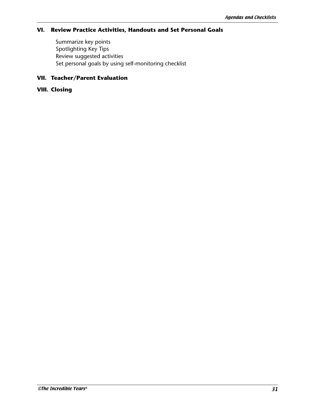## **VI. Review Practice Activities, Handouts and Set Personal Goals**

Summarize key points Spotlighting Key Tips Review suggested activities Set personal goals by using self-monitoring checklist

## **VII. Teacher/Parent Evaluation**

#### **VIII. Closing**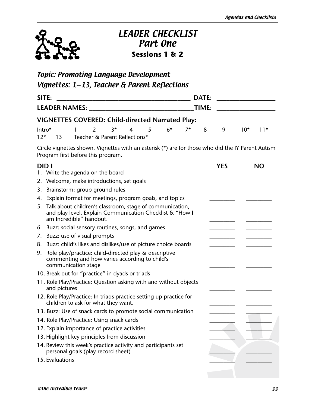

## LEADER CHECKLIST Part One **Sessions 1 & 2**

## Topic: Promoting Language Development Vignettes: 1—13, Teacher & Parent Reflections

| SITE:                                |                                                         |  |                                      |  |  |  |                                     |  | DATE: |  |  |  |
|--------------------------------------|---------------------------------------------------------|--|--------------------------------------|--|--|--|-------------------------------------|--|-------|--|--|--|
| <b>LEADER NAMES:</b> NAMES:<br>TIME: |                                                         |  |                                      |  |  |  |                                     |  |       |  |  |  |
|                                      | <b>VIGNETTES COVERED: Child-directed Narrated Play:</b> |  |                                      |  |  |  |                                     |  |       |  |  |  |
|                                      |                                                         |  |                                      |  |  |  | Intro* 1 2 3* 4 5 6* 7* 8 9 10* 11* |  |       |  |  |  |
|                                      |                                                         |  | 12* 13 Teacher & Parent Reflections* |  |  |  |                                     |  |       |  |  |  |

Circle vignettes shown. Vignettes with an asterisk (\*) are for those who did the IY Parent Autism Program first before this program.

| <b>DIDI</b> |                                                                                                                                                 | <b>YES</b> | <b>NO</b> |
|-------------|-------------------------------------------------------------------------------------------------------------------------------------------------|------------|-----------|
|             | 1. Write the agenda on the board                                                                                                                |            |           |
|             | 2. Welcome, make introductions, set goals                                                                                                       |            |           |
| 3.          | Brainstorm: group ground rules                                                                                                                  |            |           |
| 4.          | Explain format for meetings, program goals, and topics                                                                                          |            |           |
| 5.          | Talk about children's classroom, stage of communication,<br>and play level. Explain Communication Checklist & "How I<br>am Incredible" handout. |            |           |
|             | 6. Buzz: social sensory routines, songs, and games                                                                                              |            |           |
|             | 7. Buzz: use of visual prompts                                                                                                                  |            |           |
|             | 8. Buzz: child's likes and dislikes/use of picture choice boards                                                                                |            |           |
| 9.          | Role play/practice: child-directed play & descriptive<br>commenting and how varies according to child's<br>communication stage                  |            |           |
|             | 10. Break out for "practice" in dyads or triads                                                                                                 |            |           |
|             | 11. Role Play/Practice: Question asking with and without objects<br>and pictures                                                                |            |           |
|             | 12. Role Play/Practice: In triads practice setting up practice for<br>children to ask for what they want.                                       |            |           |
|             | 13. Buzz: Use of snack cards to promote social communication                                                                                    |            |           |
|             | 14. Role Play/Practice: Using snack cards                                                                                                       |            |           |
|             | 12. Explain importance of practice activities                                                                                                   |            |           |
|             | 13. Highlight key principles from discussion                                                                                                    |            |           |
|             | 14. Review this week's practice activity and participants set<br>personal goals (play record sheet)                                             |            |           |
|             | 15. Evaluations                                                                                                                                 |            |           |
|             |                                                                                                                                                 |            |           |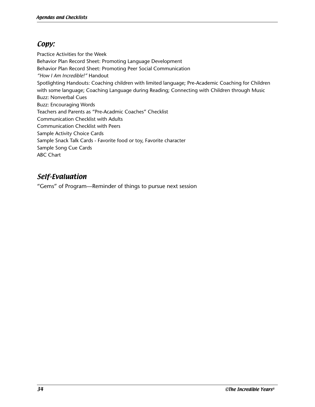## Copy:

Practice Activities for the Week Behavior Plan Record Sheet: Promoting Language Development Behavior Plan Record Sheet: Promoting Peer Social Communication *"How I Am Incredible!"* Handout Spotlighting Handouts: Coaching children with limited language; Pre-Academic Coaching for Children with some language; Coaching Language during Reading; Connecting with Children through Music Buzz: Nonverbal Cues Buzz: Encouraging Words Teachers and Parents as "Pre-Acadmic Coaches" Checklist Communication Checklist with Adults Communication Checklist with Peers Sample Activity Choice Cards Sample Snack Talk Cards - Favorite food or toy, Favorite character Sample Song Cue Cards ABC Chart

## Self-Evaluation

"Gems" of Program—Reminder of things to pursue next session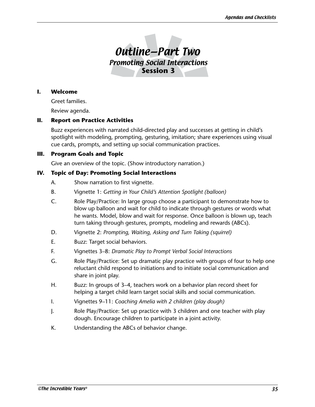

#### **I. Welcome**

Greet families.

Review agenda.

#### **II. Report on Practice Activities**

Buzz experiences with narrated child-directed play and successes at getting in child's spotlight with modeling, prompting, gesturing, imitation; share experiences using visual cue cards, prompts, and setting up social communication practices.

#### **III. Program Goals and Topic**

Give an overview of the topic. (Show introductory narration.)

#### **IV. Topic of Day: Promoting Social Interactions**

- A. Show narration to first vignette.
- B. Vignette 1: *Getting in Your Child's Attention Spotlight (balloon)*
- C. Role Play/Practice: In large group choose a participant to demonstrate how to blow up balloon and wait for child to indicate through gestures or words what he wants. Model, blow and wait for response. Once balloon is blown up, teach turn taking through gestures, prompts, modeling and rewards (ABCs).
- D. Vignette 2: *Prompting, Waiting, Asking and Turn Taking (squirrel)*
- E. Buzz: Target social behaviors.
- F. Vignettes 3–8: *Dramatic Play to Prompt Verbal Social Interactions*
- G. Role Play/Practice: Set up dramatic play practice with groups of four to help one reluctant child respond to initiations and to initiate social communication and share in joint play.
- H. Buzz: In groups of 3–4, teachers work on a behavior plan record sheet for helping a target child learn target social skills and social communication.
- I. Vignettes 9–11: *Coaching Amelia with 2 children (play dough)*
- J. Role Play/Practice: Set up practice with 3 children and one teacher with play dough. Encourage children to participate in a joint activity.
- K. Understanding the ABCs of behavior change.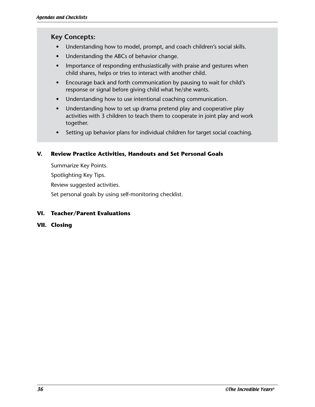- Understanding how to model, prompt, and coach children's social skills.
- Understanding the ABCs of behavior change.
- Importance of responding enthusiastically with praise and gestures when child shares, helps or tries to interact with another child.
- Encourage back and forth communication by pausing to wait for child's response or signal before giving child what he/she wants.
- Understanding how to use intentional coaching communication.
- Understanding how to set up drama pretend play and cooperative play activities with 3 children to teach them to cooperate in joint play and work together.
- Setting up behavior plans for individual children for target social coaching.

## **V. Review Practice Activities, Handouts and Set Personal Goals**

Summarize Key Points. Spotlighting Key Tips. Review suggested activities. Set personal goals by using self-monitoring checklist.

## **VI. Teacher/Parent Evaluations**

**VII. Closing**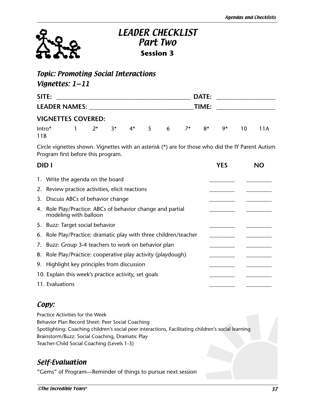

## LEADER CHECKLIST Part Two **Session 3**

## Topic: Promoting Social Interactions

## Vignettes: 1—11

| SITE:                     |  | <b>DATE:</b>                  |  |  |  |  |  |  |      |    |      |
|---------------------------|--|-------------------------------|--|--|--|--|--|--|------|----|------|
| LEADER NAMES: NAMES:      |  | TIME:                         |  |  |  |  |  |  |      |    |      |
| <b>VIGNETTES COVERED:</b> |  |                               |  |  |  |  |  |  |      |    |      |
| Intro*<br>11B             |  | 1 $2^*$ $3^*$ $4^*$ 5 6 $7^*$ |  |  |  |  |  |  | 8*9* | 10 | 11 A |

Circle vignettes shown. Vignettes with an asterisk (\*) are for those who did the IY Parent Autism Program first before this program.

| <b>DIDI</b> |                                                                                     | <b>YES</b> | NC |
|-------------|-------------------------------------------------------------------------------------|------------|----|
|             | 1. Write the agenda on the board                                                    |            |    |
|             | 2. Review practice activities, elicit reactions                                     |            |    |
|             | 3. Discuss ABCs of behavior change                                                  |            |    |
|             | 4. Role Play/Practice: ABCs of behavior change and partial<br>modeling with balloon |            |    |
|             | 5. Buzz: Target social behavior                                                     |            |    |
|             | 6. Role Play/Practice: dramatic play with three children/teacher                    |            |    |
|             | 7. Buzz: Group 3-4 teachers to work on behavior plan                                |            |    |
|             | 8. Role Play/Practice: cooperative play activity (playdough)                        |            |    |
|             | 9. Highlight key principles from discussion                                         |            |    |
|             | 10. Explain this week's practice activity, set goals                                |            |    |
|             | 11. Evaluations                                                                     |            |    |

## Copy:

Practice Activities for the Week Behavior Plan Record Sheet: Peer Social Coaching Spotlighting: Coaching children's social peer interactions, Facilitating children's social learning Brainstorm/Buzz: Social Coaching, Dramatic Play Teacher-Child Social Coaching (Levels 1-3)

## Self-Evaluation

"Gems" of Program—Reminder of things to pursue next session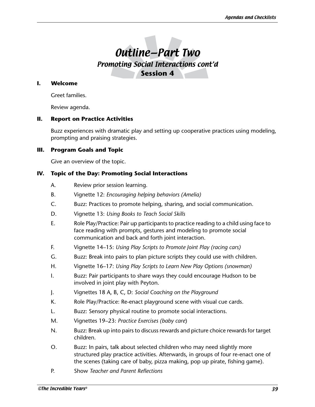# Outline—Part Two Promoting Social Interactions cont'd **Session 4**

#### **I. Welcome**

Greet families.

Review agenda.

#### **II. Report on Practice Activities**

Buzz experiences with dramatic play and setting up cooperative practices using modeling, prompting and praising strategies.

#### **III. Program Goals and Topic**

Give an overview of the topic.

### **IV. Topic of the Day: Promoting Social Interactions**

- A. Review prior session learning.
- B. Vignette 12: *Encouraging helping behaviors (Amelia)*
- C. Buzz: Practices to promote helping, sharing, and social communication.
- D. Vignette 13: *Using Books to Teach Social Skills*
- E. Role Play/Practice: Pair up participants to practice reading to a child using face to face reading with prompts, gestures and modeling to promote social communication and back and forth joint interaction.
- F. Vignette 14–15: *Using Play Scripts to Promote Joint Play (racing cars)*
- G. Buzz: Break into pairs to plan picture scripts they could use with children.
- H. Vignette 16–17: *Using Play Scripts to Learn New Play Options (snowman)*
- I. Buzz: Pair participants to share ways they could encourage Hudson to be involved in joint play with Peyton.
- J. Vignettes 18 A, B, C, D: *Social Coaching on the Playground*
- K. Role Play/Practice: Re-enact playground scene with visual cue cards.
- L. Buzz: Sensory physical routine to promote social interactions.
- M. Vignettes 19–23: *Practice Exercises (baby care*)
- N. Buzz: Break up into pairs to discuss rewards and picture choice rewards for target children.
- O. Buzz: In pairs, talk about selected children who may need slightly more structured play practice activities. Afterwards, in groups of four re-enact one of the scenes (taking care of baby, pizza making, pop up pirate, fishing game).
- P. Show *Teacher and Parent Reflections*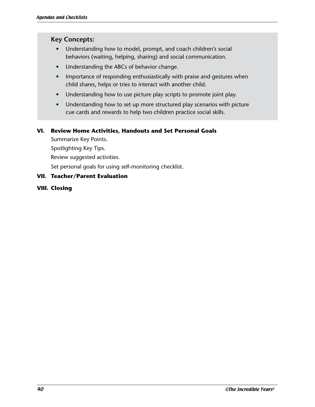- Understanding how to model, prompt, and coach children's social behaviors (waiting, helping, sharing) and social communication.
- Understanding the ABCs of behavior change.
- Importance of responding enthusiastically with praise and gestures when child shares, helps or tries to interact with another child.
- Understanding how to use picture play scripts to promote joint play.
- Understanding how to set up more structured play scenarios with picture cue cards and rewards to help two children practice social skills.

## **VI. Review Home Activities, Handouts and Set Personal Goals**

Summarize Key Points. Spotlighting Key Tips.

Review suggested activities.

Set personal goals for using self-monitoring checklist.

## **VII. Teacher/Parent Evaluation**

## **VIII. Closing**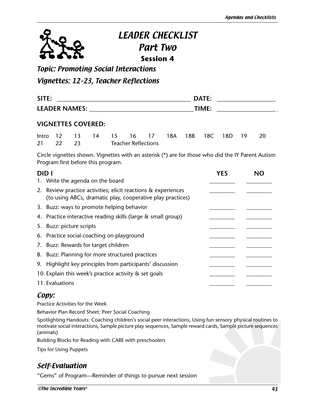

# LEADER CHECKLIST Part Two **Session 4**

Topic: Promoting Social Interactions

Vignettes: 12–23, Teacher Reflections

| <b>SITE</b>                  | DATE |  |
|------------------------------|------|--|
| <b>LEADER NAMES</b><br>— J . |      |  |

## **VIGNETTES COVERED:**

|  |          |  |                            | Intro 12 13 14 15 16 17 18A 18B 18C 18D 19 20 |  |  |  |
|--|----------|--|----------------------------|-----------------------------------------------|--|--|--|
|  | 21 22 23 |  | <b>Teacher Reflections</b> |                                               |  |  |  |

Circle vignettes shown. Vignettes with an asterisk (\*) are for those who did the IY Parent Autism Program first before this program.

| <b>DIDI</b> |                                                                                                                             | <b>YES</b> | NΩ |
|-------------|-----------------------------------------------------------------------------------------------------------------------------|------------|----|
|             | 1. Write the agenda on the board                                                                                            |            |    |
|             | 2. Review practice activities; elicit reactions & experiences<br>(to using ABCs, dramatic play, cooperative play practices) |            |    |
|             | 3. Buzz: ways to promote helping behavior                                                                                   |            |    |
|             | 4. Practice interactive reading skills (large & small group)                                                                |            |    |
|             | 5. Buzz: picture scripts                                                                                                    |            |    |
|             | 6. Practice social coaching on playground                                                                                   |            |    |
|             | 7. Buzz: Rewards for target children                                                                                        |            |    |
|             | 8. Buzz: Planning for more structured practices                                                                             |            |    |
|             | 9. Highlight key principles from participants' discussion                                                                   |            |    |
|             | 10. Explain this week's practice activity & set goals                                                                       |            |    |
|             | 11. Evaluations                                                                                                             |            |    |

## Copy:

Practice Activities for the Week

Behavior Plan Record Sheet: Peer Social Coaching

Spotlighting Handouts: Coaching children's social peer interactions, Using fun sensory physical routines to motivate social interactions, Sample picture play sequences, Sample reward cards, Sample picture sequences (animals)

Building Blocks for Reading with CARE with preschoolers

Tips for Using Puppets

## Self-Evaluation

"Gems" of Program—Reminder of things to pursue next session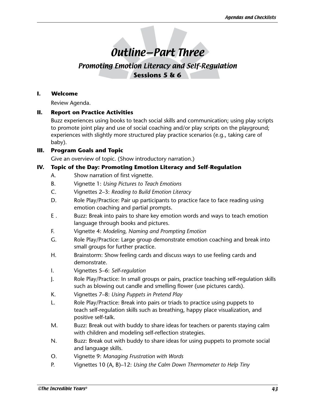# Outline—Part Three

## Promoting Emotion Literacy and Self-Regulation **Sessions 5 & 6**

#### **I. Welcome**

Review Agenda.

### **II. Report on Practice Activities**

Buzz experiences using books to teach social skills and communication; using play scripts to promote joint play and use of social coaching and/or play scripts on the playground; experiences with slightly more structured play practice scenarios (e.g., taking care of baby).

## **III. Program Goals and Topic**

Give an overview of topic. (Show introductory narration.)

### **IV. Topic of the Day: Promoting Emotion Literacy and Self-Regulation**

- A. Show narration of first vignette.
- B. Vignette 1: *Using Pictures to Teach Emotions*
- C. Vignettes 2–3: *Reading to Build Emotion Literacy*
- D. Role Play/Practice: Pair up participants to practice face to face reading using emotion coaching and partial prompts.
- E . Buzz: Break into pairs to share key emotion words and ways to teach emotion language through books and pictures.
- F. Vignette 4: *Modeling, Naming and Prompting Emotion*
- G. Role Play/Practice: Large group demonstrate emotion coaching and break into small groups for further practice.
- H. Brainstorm: Show feeling cards and discuss ways to use feeling cards and demonstrate.
- I. Vignettes 5–6: *Self-regulation*
- J. Role Play/Practice: In small groups or pairs, practice teaching self-regulation skills such as blowing out candle and smelling flower (use pictures cards).
- K. Vignettes 7–8: *Using Puppets in Pretend Play*
- L. Role Play/Practice: Break into pairs or triads to practice using puppets to teach self-regulation skills such as breathing, happy place visualization, and positive self-talk.
- M. Buzz: Break out with buddy to share ideas for teachers or parents staying calm with children and modeling self-reflection strategies.
- N. Buzz: Break out with buddy to share ideas for using puppets to promote social and language skills.
- O. Vignette 9: *Managing Frustration with Words*
- P. Vignettes 10 (A, B)–12: *Using the Calm Down Thermometer to Help Tiny*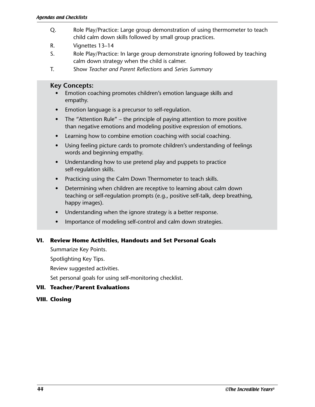- Q. Role Play/Practice: Large group demonstration of using thermometer to teach child calm down skills followed by small group practices.
- R. Vignettes 13–14
- S. Role Play/Practice: In large group demonstrate ignoring followed by teaching calm down strategy when the child is calmer.
- T. Show *Teacher and Parent Reflections* and *Series Summary*

- Emotion coaching promotes children's emotion language skills and empathy.
- Emotion language is a precursor to self-regulation.
- The "Attention Rule" the principle of paying attention to more positive than negative emotions and modeling positive expression of emotions.
- Learning how to combine emotion coaching with social coaching.
- Using feeling picture cards to promote children's understanding of feelings words and beginning empathy.
- Understanding how to use pretend play and puppets to practice self-regulation skills.
- Practicing using the Calm Down Thermometer to teach skills.
- Determining when children are receptive to learning about calm down teaching or self-regulation prompts (e.g., positive self-talk, deep breathing, happy images).
- Understanding when the ignore strategy is a better response.
- Importance of modeling self-control and calm down strategies.

#### **VI. Review Home Activities, Handouts and Set Personal Goals**

Summarize Key Points.

Spotlighting Key Tips.

Review suggested activities.

Set personal goals for using self-monitoring checklist.

#### **VII. Teacher/Parent Evaluations**

#### **VIII. Closing**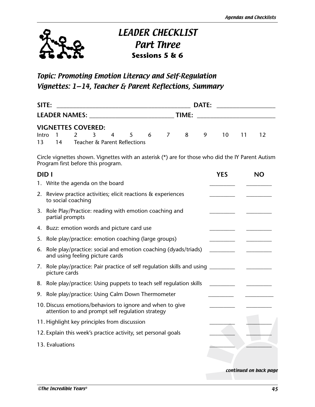

# LEADER CHECKLIST Part Three **Sessions 5 & 6**

## Topic: Promoting Emotion Literacy and Self-Regulation Vignettes: 1—14, Teacher & Parent Reflections, Summary

| SITE:                       |    |  |  |  |                              | DATE: |  |       |  |                               |  |  |  |
|-----------------------------|----|--|--|--|------------------------------|-------|--|-------|--|-------------------------------|--|--|--|
| <b>LEADER NAMES:</b> NAMES: |    |  |  |  |                              |       |  | TIME: |  |                               |  |  |  |
| <b>VIGNETTES COVERED:</b>   |    |  |  |  |                              |       |  |       |  |                               |  |  |  |
|                             |    |  |  |  |                              |       |  |       |  | Intro 1 2 3 4 5 6 7 8 9 10 11 |  |  |  |
| 13                          | 14 |  |  |  | Teacher & Parent Reflections |       |  |       |  |                               |  |  |  |

Circle vignettes shown. Vignettes with an asterisk (\*) are for those who did the IY Parent Autism Program first before this program.

| <b>DIDI</b> |                                                                                                               | <b>YES</b> | <b>NO</b>              |
|-------------|---------------------------------------------------------------------------------------------------------------|------------|------------------------|
|             | 1. Write the agenda on the board                                                                              |            |                        |
|             | 2. Review practice activities; elicit reactions & experiences<br>to social coaching                           |            |                        |
| 3.          | Role Play/Practice: reading with emotion coaching and<br>partial prompts                                      |            |                        |
|             | 4. Buzz: emotion words and picture card use                                                                   |            |                        |
|             | 5. Role play/practice: emotion coaching (large groups)                                                        |            |                        |
|             | 6. Role play/practice: social and emotion coaching (dyads/triads)<br>and using feeling picture cards          |            |                        |
| 7.          | Role play/practice: Pair practice of self regulation skills and using _______<br>picture cards                |            |                        |
|             | 8. Role play/practice: Using puppets to teach self regulation skills                                          |            |                        |
|             | 9. Role play/practice: Using Calm Down Thermometer                                                            |            |                        |
|             | 10. Discuss emotions/behaviors to ignore and when to give<br>attention to and prompt self regulation strategy |            |                        |
|             | 11. Highlight key principles from discussion                                                                  |            |                        |
|             | 12. Explain this week's practice activity, set personal goals                                                 |            |                        |
|             | 13. Evaluations                                                                                               |            |                        |
|             |                                                                                                               |            | continued on back page |